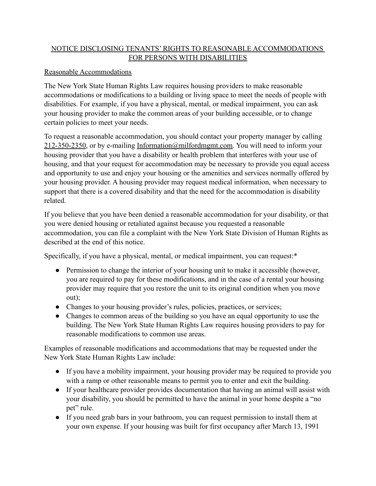## NOTICE DISCLOSING TENANTS' RIGHTS TO REASONABLE ACCOMMODATIONS FOR PERSONS WITH DISABILITIES

## Reasonable Accommodations

The New York State Human Rights Law requires housing providers to make reasonable accommodations or modifications to a building or living space to meet the needs of people with disabilities. For example, if you have a physical, mental, or medical impairment, you can ask your housing provider to make the common areas of your building accessible, or to change certain policies to meet your needs.

To request a reasonable accommodation, you should contact your property manager by calling  $212-350-2350$ , or by e-mailing [Information@milfordmgmt.com](mailto:Information@milfordmgmt.com). You will need to inform your housing provider that you have a disability or health problem that interferes with your use of housing, and that your request for accommodation may be necessary to provide you equal access and opportunity to use and enjoy your housing or the amenities and services normally offered by your housing provider. A housing provider may request medical information, when necessary to support that there is a covered disability and that the need for the accommodation is disability related.

If you believe that you have been denied a reasonable accommodation for your disability, or that you were denied housing or retaliated against because you requested a reasonable accommodation, you can file a complaint with the New York State Division of Human Rights as described at the end of this notice.

Specifically, if you have a physical, mental, or medical impairment, you can request:\*

- Permission to change the interior of your housing unit to make it accessible (however, you are required to pay for these modifications, and in the case of a rental your housing provider may require that you restore the unit to its original condition when you move out);
- Changes to your housing provider's rules, policies, practices, or services;
- Changes to common areas of the building so you have an equal opportunity to use the building. The New York State Human Rights Law requires housing providers to pay for reasonable modifications to common use areas.

Examples of reasonable modifications and accommodations that may be requested under the New York State Human Rights Law include:

- If you have a mobility impairment, your housing provider may be required to provide you with a ramp or other reasonable means to permit you to enter and exit the building.
- If your healthcare provider provides documentation that having an animal will assist with your disability, you should be permitted to have the animal in your home despite a "no pet" rule.
- If you need grab bars in your bathroom, you can request permission to install them at your own expense. If your housing was built for first occupancy after March 13, 1991